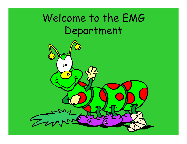## Welcome to the EMG Department

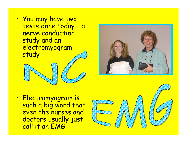$\bullet$ • You may have two tests done today – <sup>a</sup> nerve conduction study and an electromyogram study



 $\bullet$ • Electromyogram is such a big word that even the nurses and doctors usually just call it an EMG

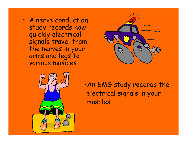$\bullet$  A nerve conduction study records how quickly electrical signals travel from the nerves in your arms and legs to various muscles





•An EMG study records the electrical signals in your muscles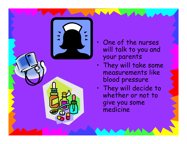

- $\bullet$  One of the nurses will talk to you and your parents
- • $\cdot$  They will take some measurements like blood pressure
- $\bullet$ . They will decide to whether or not to give you some medicine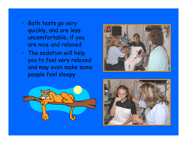- • Both tests go very quickly, and are less uncomfortable, if you are nice and relaxed
- The sedation will help you to feel very relaxed and may even make some people feel sleepy





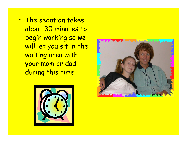•. The sedation takes about 30 minutes to begin working so we will let you sit in the waiting area with your mom or dad during this time



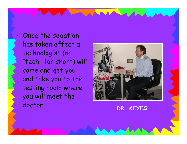. Once the sedation has taken effect a technologist (or "tech" for short) will come and get you and take you to the testing room where you will meet the doctor **DR. KEYES**

•

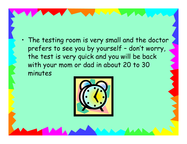• The testing room is very small and the doctor prefers to see you by yourself – don't worry, the test is very quick and you will be back with your mom or dad in about 20 to 30 minutes

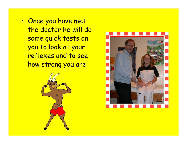•• Once you have met the doctor he will do some quick tests on you to look at your reflexes and to see how strong you are



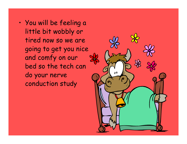• You will be feeling a little bit wobbly or tired now so we are going to get you nice and comfy on our bed so the tech can do your nerve conduction study

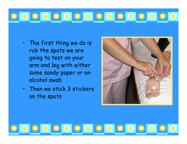

- The first thing we do is rub the spots we are going to test on your arm and leg with either some sandy paper or an alcohol swab
- Then we stick 3 stickers on the spots

OF FOF FOF FOF FOF FOF 5

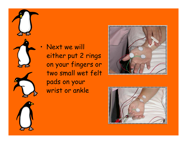









either put 2 rings on your fingers or two small wet felt wrist or ankle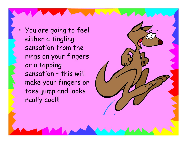You are going to feel either a tingling sensation from the rings on your fingers or a tapping sensation – this will make your fingers or toes jump and looks really cool!!

•

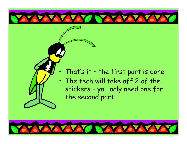

 $\bullet$ 

## That's it – the first part is done

• The tech will take off 2 of the stickers – you only need one for the second part

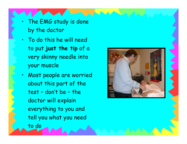- • The EMG study is done by the doctor
- To do this he will need to put **just the tip** of a very skinny needle into your muscle
- Most people are worried about this part of the test – don't be – the doctor will explain everything to you and tell you what you need to do

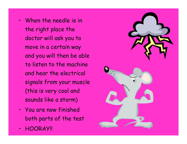- When the needle is in the right place the doctor will ask you to move in a certain way and you will then be able to listen to the machine and hear the electrical signals from your muscle (this is very cool and sounds like a storm)
- You are now finished both parts of the test
- •HOORAY!!

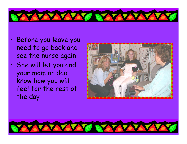

- • Before you leave you need to go back and see the nurse again
- • She will let you and your mom or dad know how you will feel for the rest of the day